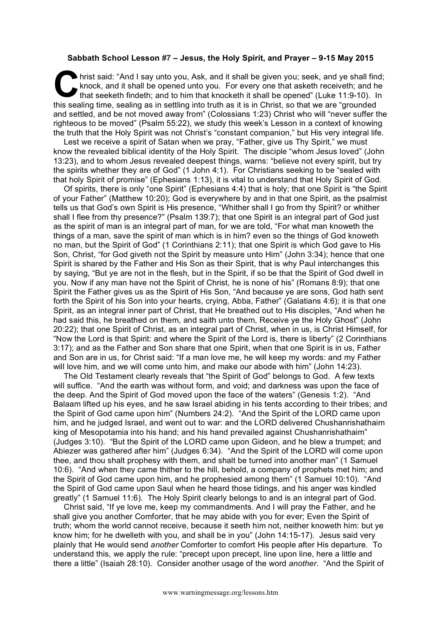## **Sabbath School Lesson #7 – Jesus, the Holy Spirit, and Prayer – 9-15 May 2015**

hrist said: "And I say unto you, Ask, and it shall be given you; seek, and ye shall find; knock, and it shall be opened unto you. For every one that asketh receiveth; and he that seeketh findeth; and to him that knocketh it shall be opened" (Luke 11:9-10). In this sealing time, sealing as in settling into truth as it is in Christ, so that we are "grounded and settled, and be not moved away from" (Colossians 1:23) Christ who will "never suffer the righteous to be moved" (Psalm 55:22), we study this week's Lesson in a context of knowing the truth that the Holy Spirit was not Christ's "constant companion," but His very integral life. **C** know the

Lest we receive a spirit of Satan when we pray, "Father, give us Thy Spirit," we must know the revealed biblical identity of the Holy Spirit. The disciple "whom Jesus loved" (John 13:23), and to whom Jesus revealed deepest things, warns: "believe not every spirit, but try the spirits whether they are of God" (1 John 4:1). For Christians seeking to be "sealed with that holy Spirit of promise" (Ephesians 1:13), it is vital to understand that Holy Spirit of God.

Of spirits, there is only "one Spirit" (Ephesians 4:4) that is holy; that one Spirit is "the Spirit of your Father" (Matthew 10:20); God is everywhere by and in that one Spirit, as the psalmist tells us that God's own Spirit is His presence, "Whither shall I go from thy Spirit? or whither shall I flee from thy presence?" (Psalm 139:7); that one Spirit is an integral part of God just as the spirit of man is an integral part of man, for we are told, "For what man knoweth the things of a man, save the spirit of man which is in him? even so the things of God knoweth no man, but the Spirit of God" (1 Corinthians 2:11); that one Spirit is which God gave to His Son, Christ, "for God giveth not the Spirit by measure unto Him" (John 3:34); hence that one Spirit is shared by the Father and His Son as their Spirit, that is why Paul interchanges this by saying, "But ye are not in the flesh, but in the Spirit, if so be that the Spirit of God dwell in you. Now if any man have not the Spirit of Christ, he is none of his" (Romans 8:9); that one Spirit the Father gives us as the Spirit of His Son, "And because ye are sons, God hath sent forth the Spirit of his Son into your hearts, crying, Abba, Father" (Galatians 4:6); it is that one Spirit, as an integral inner part of Christ, that He breathed out to His disciples, "And when he had said this, he breathed on them, and saith unto them, Receive ye the Holy Ghost" (John 20:22); that one Spirit of Christ, as an integral part of Christ, when in us, is Christ Himself, for "Now the Lord is that Spirit: and where the Spirit of the Lord is, there is liberty" (2 Corinthians 3:17); and as the Father and Son share that one Spirit, when that one Spirit is in us, Father and Son are in us, for Christ said: "If a man love me, he will keep my words: and my Father will love him, and we will come unto him, and make our abode with him" (John 14:23).

The Old Testament clearly reveals that "the Spirit of God" belongs to God. A few texts will suffice. "And the earth was without form, and void; and darkness was upon the face of the deep. And the Spirit of God moved upon the face of the waters" (Genesis 1:2). "And Balaam lifted up his eyes, and he saw Israel abiding in his tents according to their tribes; and the Spirit of God came upon him" (Numbers 24:2). "And the Spirit of the LORD came upon him, and he judged Israel, and went out to war: and the LORD delivered Chushanrishathaim king of Mesopotamia into his hand; and his hand prevailed against Chushanrishathaim" (Judges 3:10). "But the Spirit of the LORD came upon Gideon, and he blew a trumpet; and Abiezer was gathered after him" (Judges 6:34). "And the Spirit of the LORD will come upon thee, and thou shalt prophesy with them, and shalt be turned into another man" (1 Samuel 10:6). "And when they came thither to the hill, behold, a company of prophets met him; and the Spirit of God came upon him, and he prophesied among them" (1 Samuel 10:10). "And the Spirit of God came upon Saul when he heard those tidings, and his anger was kindled greatly" (1 Samuel 11:6). The Holy Spirit clearly belongs to and is an integral part of God.

Christ said, "If ye love me, keep my commandments. And I will pray the Father, and he shall give you another Comforter, that he may abide with you for ever; Even the Spirit of truth; whom the world cannot receive, because it seeth him not, neither knoweth him: but ye know him; for he dwelleth with you, and shall be in you" (John 14:15-17). Jesus said very plainly that He would send *another* Comforter to comfort His people after His departure. To understand this, we apply the rule: "precept upon precept, line upon line, here a little and there a little" (Isaiah 28:10). Consider another usage of the word *another*. "And the Spirit of